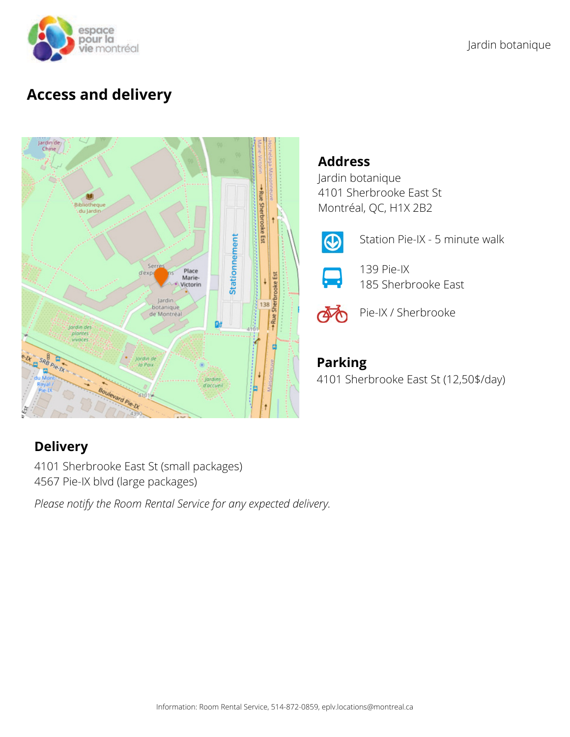

# **Access and delivery**



## **Address**

Jardin botanique 4101 Sherbrooke East St Montréal, QC, H1X 2B2



Station Pie-IX - 5 minute walk



139 Pie-IX 185 Sherbrooke East



Pie-IX / Sherbrooke

# **Parking**

4101 Sherbrooke East St (12,50\$/day)

# **Delivery**

4101 Sherbrooke East St (small packages) 4567 Pie-IX blvd (large packages)

*Please notify the Room Rental Service for any expected delivery.*